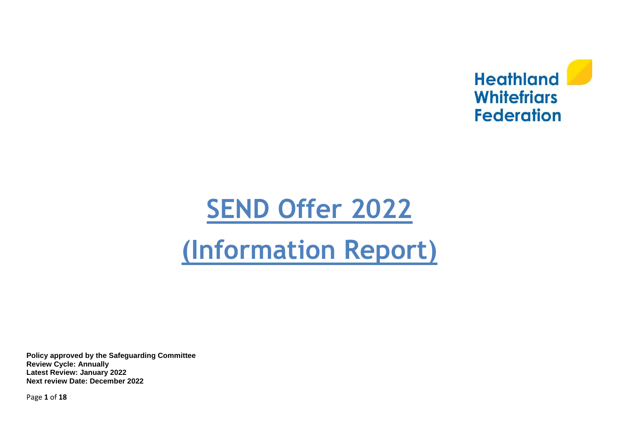

# **SEND [Offer](http://www.phoenixjuniors.co.uk/phoenix/special-educational-needs/) 2022**

# **(Information Report)**

**Policy approved by the Safeguarding Committee Review Cycle: Annually Latest Review: January 2022 Next review Date: December 2022**

Page **1** of **18**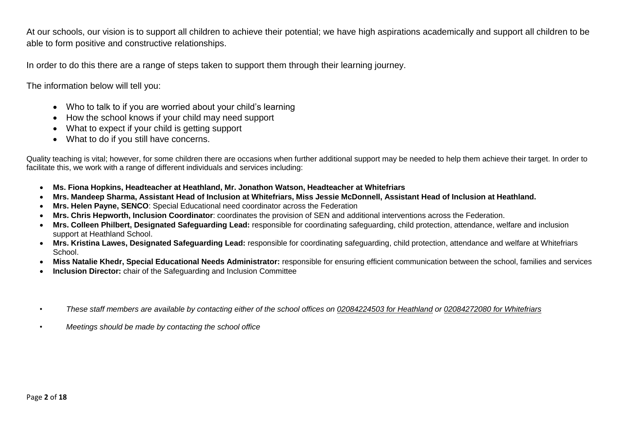At our schools, our vision is to support all children to achieve their potential; we have high aspirations academically and support all children to be able to form positive and constructive relationships.

In order to do this there are a range of steps taken to support them through their learning journey.

The information below will tell you:

- Who to talk to if you are worried about your child's learning
- How the school knows if your child may need support
- What to expect if your child is getting support
- What to do if you still have concerns.

Quality teaching is vital; however, for some children there are occasions when further additional support may be needed to help them achieve their target. In order to facilitate this, we work with a range of different individuals and services including:

- **Ms. Fiona Hopkins, Headteacher at Heathland, Mr. Jonathon Watson, Headteacher at Whitefriars**
- **Mrs. Mandeep Sharma, Assistant Head of Inclusion at Whitefriars, Miss Jessie McDonnell, Assistant Head of Inclusion at Heathland.**
- **Mrs. Helen Payne, SENCO**: Special Educational need coordinator across the Federation
- **Mrs. Chris Hepworth, Inclusion Coordinator**: coordinates the provision of SEN and additional interventions across the Federation.
- **Mrs. Colleen Philbert, Designated Safeguarding Lead:** responsible for coordinating safeguarding, child protection, attendance, welfare and inclusion support at Heathland School.
- **Mrs. Kristina Lawes, Designated Safeguarding Lead:** responsible for coordinating safeguarding, child protection, attendance and welfare at Whitefriars School.
- **Miss Natalie Khedr, Special Educational Needs Administrator:** responsible for ensuring efficient communication between the school, families and services
- **Inclusion Director:** chair of the Safeguarding and Inclusion Committee
- *These staff members are available by contacting either of the school offices on 02084224503 for Heathland or 02084272080 for Whitefriars*
- *Meetings should be made by contacting the school office*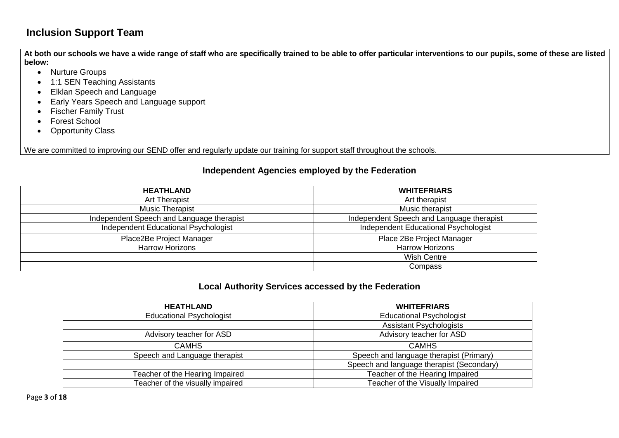# **Inclusion Support Team**

**At both our schools we have a wide range of staff who are specifically trained to be able to offer particular interventions to our pupils, some of these are listed below:**

- Nurture Groups
- 1:1 SEN Teaching Assistants
- Elklan Speech and Language
- Early Years Speech and Language support
- Fischer Family Trust
- Forest School
- Opportunity Class

We are committed to improving our SEND offer and regularly update our training for support staff throughout the schools.

#### **Independent Agencies employed by the Federation**

| <b>HEATHLAND</b>                          | <b>WHITEFRIARS</b>                        |
|-------------------------------------------|-------------------------------------------|
| <b>Art Therapist</b>                      | Art therapist                             |
| Music Therapist                           | Music therapist                           |
| Independent Speech and Language therapist | Independent Speech and Language therapist |
| Independent Educational Psychologist      | Independent Educational Psychologist      |
| Place2Be Project Manager                  | Place 2Be Project Manager                 |
| <b>Harrow Horizons</b>                    | <b>Harrow Horizons</b>                    |
|                                           | <b>Wish Centre</b>                        |
|                                           | Compass                                   |

#### **Local Authority Services accessed by the Federation**

| <b>HEATHLAND</b>                 | <b>WHITEFRIARS</b>                        |
|----------------------------------|-------------------------------------------|
| <b>Educational Psychologist</b>  | <b>Educational Psychologist</b>           |
|                                  | <b>Assistant Psychologists</b>            |
| Advisory teacher for ASD         | Advisory teacher for ASD                  |
| <b>CAMHS</b>                     | <b>CAMHS</b>                              |
| Speech and Language therapist    | Speech and language therapist (Primary)   |
|                                  | Speech and language therapist (Secondary) |
| Teacher of the Hearing Impaired  | Teacher of the Hearing Impaired           |
| Teacher of the visually impaired | Teacher of the Visually Impaired          |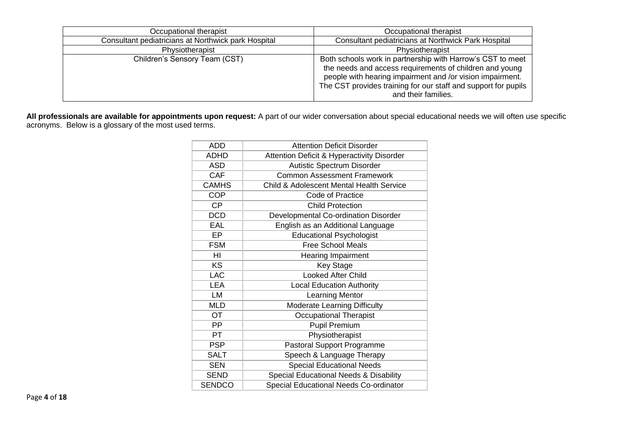| Occupational therapist                              | Occupational therapist                                                                                                                                                                                                                                                      |
|-----------------------------------------------------|-----------------------------------------------------------------------------------------------------------------------------------------------------------------------------------------------------------------------------------------------------------------------------|
| Consultant pediatricians at Northwick park Hospital | Consultant pediatricians at Northwick Park Hospital                                                                                                                                                                                                                         |
| Physiotherapist                                     | Physiotherapist                                                                                                                                                                                                                                                             |
| Children's Sensory Team (CST)                       | Both schools work in partnership with Harrow's CST to meet<br>the needs and access requirements of children and young<br>people with hearing impairment and /or vision impairment.<br>The CST provides training for our staff and support for pupils<br>and their families. |

**All professionals are available for appointments upon request:** A part of our wider conversation about special educational needs we will often use specific acronyms. Below is a glossary of the most used terms.

| <b>ADD</b>    | <b>Attention Deficit Disorder</b>                   |
|---------------|-----------------------------------------------------|
| <b>ADHD</b>   | Attention Deficit & Hyperactivity Disorder          |
| ASD           | Autistic Spectrum Disorder                          |
| <b>CAF</b>    | <b>Common Assessment Framework</b>                  |
| <b>CAMHS</b>  | <b>Child &amp; Adolescent Mental Health Service</b> |
| <b>COP</b>    | Code of Practice                                    |
| <b>CP</b>     | <b>Child Protection</b>                             |
| <b>DCD</b>    | Developmental Co-ordination Disorder                |
| <b>EAL</b>    | English as an Additional Language                   |
| EР            | <b>Educational Psychologist</b>                     |
| <b>FSM</b>    | <b>Free School Meals</b>                            |
| HI            | <b>Hearing Impairment</b>                           |
| KS            | <b>Key Stage</b>                                    |
| <b>LAC</b>    | <b>Looked After Child</b>                           |
| LEA           | <b>Local Education Authority</b>                    |
| LM            | Learning Mentor                                     |
| <b>MLD</b>    | <b>Moderate Learning Difficulty</b>                 |
| OT            | <b>Occupational Therapist</b>                       |
| PP            | <b>Pupil Premium</b>                                |
| PT            | Physiotherapist                                     |
| <b>PSP</b>    | <b>Pastoral Support Programme</b>                   |
| <b>SALT</b>   | Speech & Language Therapy                           |
| <b>SEN</b>    | <b>Special Educational Needs</b>                    |
| <b>SEND</b>   | Special Educational Needs & Disability              |
| <b>SENDCO</b> | Special Educational Needs Co-ordinator              |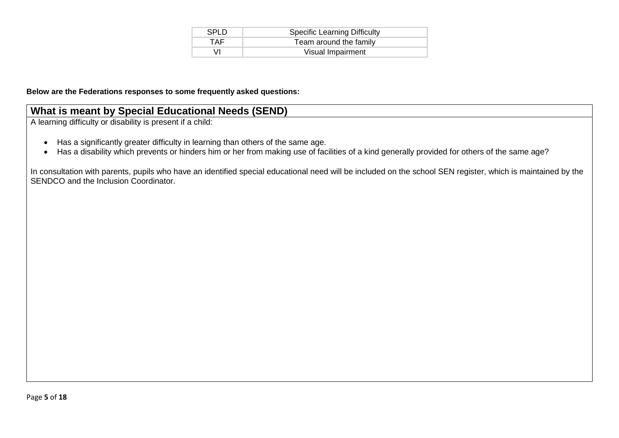| <b>SPLD</b> | <b>Specific Learning Difficulty</b> |
|-------------|-------------------------------------|
| TAF         | Team around the family              |
|             | Visual Impairment                   |

#### **Below are the Federations responses to some frequently asked questions:**

#### **What is meant by Special Educational Needs (SEND)**

A learning difficulty or disability is present if a child:

- Has a significantly greater difficulty in learning than others of the same age.
- Has a disability which prevents or hinders him or her from making use of facilities of a kind generally provided for others of the same age?

In consultation with parents, pupils who have an identified special educational need will be included on the school SEN register, which is maintained by the SENDCO and the Inclusion Coordinator.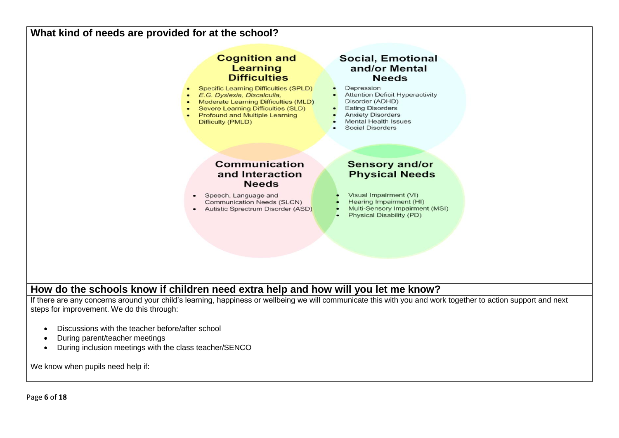#### **What kind of needs are provided for at the school?**



#### **How do the schools know if children need extra help and how will you let me know?**

If there are any concerns around your child's learning, happiness or wellbeing we will communicate this with you and work together to action support and next steps for improvement. We do this through:

- Discussions with the teacher before/after school
- During parent/teacher meetings
- During inclusion meetings with the class teacher/SENCO

We know when pupils need help if: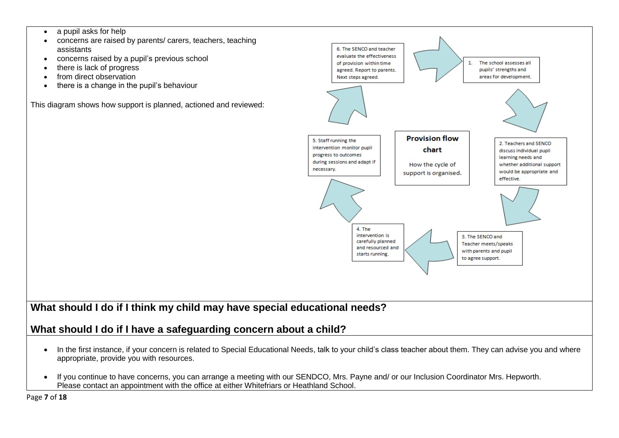- a pupil asks for help
- concerns are raised by parents/ carers, teachers, teaching assistants
- concerns raised by a pupil's previous school
- there is lack of progress
- from direct observation
- there is a change in the pupil's behaviour

This diagram shows how support is planned, actioned and reviewed:



# **What should I do if I think my child may have special educational needs?**

# **What should I do if I have a safeguarding concern about a child?**

- In the first instance, if your concern is related to Special Educational Needs, talk to your child's class teacher about them. They can advise you and where appropriate, provide you with resources.
- If you continue to have concerns, you can arrange a meeting with our SENDCO, Mrs. Payne and/ or our Inclusion Coordinator Mrs. Hepworth. Please contact an appointment with the office at either Whitefriars or Heathland School.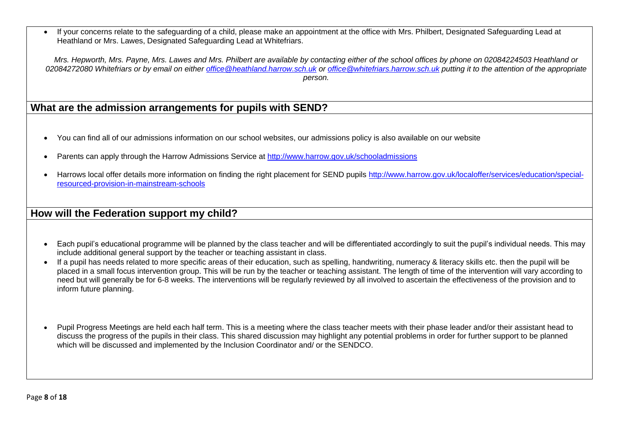• If your concerns relate to the safeguarding of a child, please make an appointment at the office with Mrs. Philbert, Designated Safeguarding Lead at Heathland or Mrs. Lawes, Designated Safeguarding Lead at Whitefriars.

*Mrs. Hepworth, Mrs. Payne, Mrs. Lawes and Mrs. Philbert are available by contacting either of the school offices by phone on 02084224503 Heathland or 02084272080 Whitefriars or by email on either [office@heathland.harrow.sch.uk](mailto:office@heathland.harrow.sch.uk) or [office@whitefriars.harrow.sch.uk](mailto:office@whitefriars.harrow.sch.uk) putting it to the attention of the appropriate person.* 

## **What are the admission arrangements for pupils with SEND?**

- You can find all of our admissions information on our school websites, our admissions policy is also available on our website
- Parents can apply through the Harrow Admissions Service at<http://www.harrow.gov.uk/schooladmissions>
- Harrows local offer details more information on finding the right placement for SEND pupils [http://www.harrow.gov.uk/localoffer/services/education/special](http://www.harrow.gov.uk/localoffer/services/education/special-resourced-provision-in-mainstream-schools)[resourced-provision-in-mainstream-schools](http://www.harrow.gov.uk/localoffer/services/education/special-resourced-provision-in-mainstream-schools)

#### **How will the Federation support my child?**

- Each pupil's educational programme will be planned by the class teacher and will be differentiated accordingly to suit the pupil's individual needs. This may include additional general support by the teacher or teaching assistant in class.
- If a pupil has needs related to more specific areas of their education, such as spelling, handwriting, numeracy & literacy skills etc. then the pupil will be placed in a small focus intervention group. This will be run by the teacher or teaching assistant. The length of time of the intervention will vary according to need but will generally be for 6-8 weeks. The interventions will be regularly reviewed by all involved to ascertain the effectiveness of the provision and to inform future planning.
- Pupil Progress Meetings are held each half term. This is a meeting where the class teacher meets with their phase leader and/or their assistant head to discuss the progress of the pupils in their class. This shared discussion may highlight any potential problems in order for further support to be planned which will be discussed and implemented by the Inclusion Coordinator and/ or the SENDCO.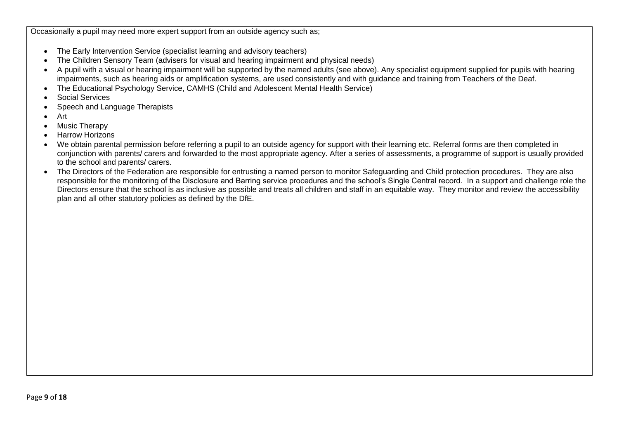Occasionally a pupil may need more expert support from an outside agency such as;

- The Early Intervention Service (specialist learning and advisory teachers)
- The Children Sensory Team (advisers for visual and hearing impairment and physical needs)
- A pupil with a visual or hearing impairment will be supported by the named adults (see above). Any specialist equipment supplied for pupils with hearing impairments, such as hearing aids or amplification systems, are used consistently and with guidance and training from Teachers of the Deaf.
- The Educational Psychology Service, CAMHS (Child and Adolescent Mental Health Service)
- Social Services
- Speech and Language Therapists
- Art
- Music Therapy
- Harrow Horizons
- We obtain parental permission before referring a pupil to an outside agency for support with their learning etc. Referral forms are then completed in conjunction with parents/ carers and forwarded to the most appropriate agency. After a series of assessments, a programme of support is usually provided to the school and parents/ carers.
- The Directors of the Federation are responsible for entrusting a named person to monitor Safeguarding and Child protection procedures. They are also responsible for the monitoring of the Disclosure and Barring service procedures and the school's Single Central record. In a support and challenge role the Directors ensure that the school is as inclusive as possible and treats all children and staff in an equitable way. They monitor and review the accessibility plan and all other statutory policies as defined by the DfE.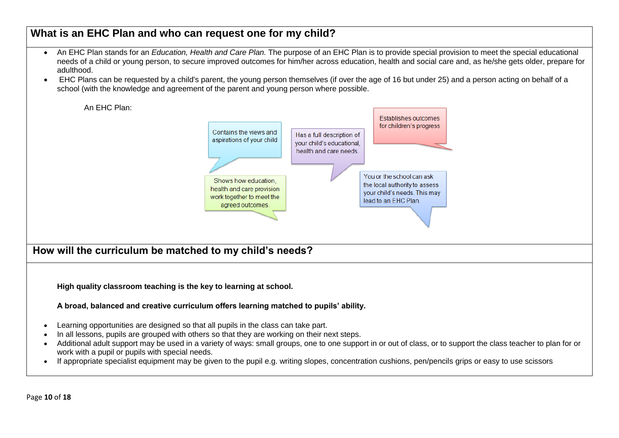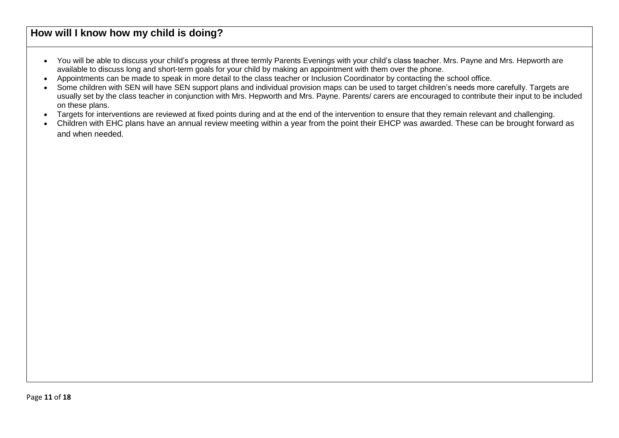# **How will I know how my child is doing?**

- You will be able to discuss your child's progress at three termly Parents Evenings with your child's class teacher. Mrs. Payne and Mrs. Hepworth are available to discuss long and short-term goals for your child by making an appointment with them over the phone.
- Appointments can be made to speak in more detail to the class teacher or Inclusion Coordinator by contacting the school office.
- Some children with SEN will have SEN support plans and individual provision maps can be used to target children's needs more carefully. Targets are usually set by the class teacher in conjunction with Mrs. Hepworth and Mrs. Payne. Parents/ carers are encouraged to contribute their input to be included on these plans.
- Targets for interventions are reviewed at fixed points during and at the end of the intervention to ensure that they remain relevant and challenging.
- Children with EHC plans have an annual review meeting within a year from the point their EHCP was awarded. These can be brought forward as and when needed.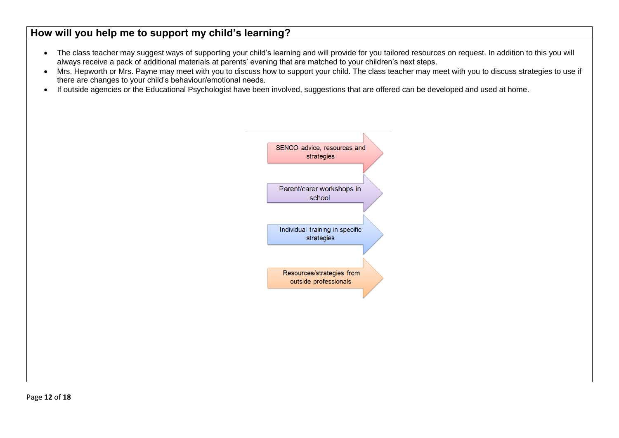# **How will you help me to support my child's learning?**

- The class teacher may suggest ways of supporting your child's learning and will provide for you tailored resources on request. In addition to this you will always receive a pack of additional materials at parents' evening that are matched to your children's next steps.
- Mrs. Hepworth or Mrs. Payne may meet with you to discuss how to support your child. The class teacher may meet with you to discuss strategies to use if there are changes to your child's behaviour/emotional needs.
- If outside agencies or the Educational Psychologist have been involved, suggestions that are offered can be developed and used at home.

![](_page_11_Figure_4.jpeg)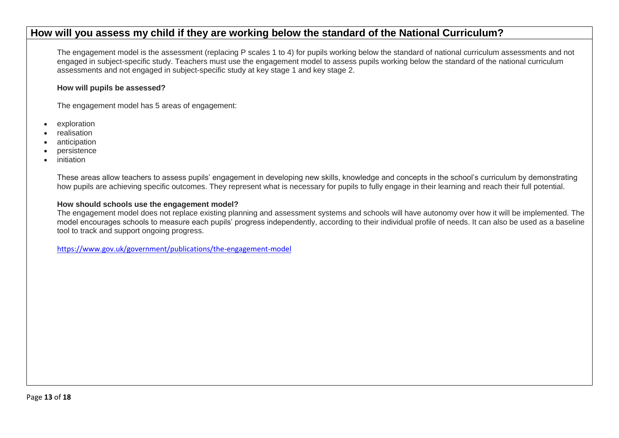#### **How will you assess my child if they are working below the standard of the National Curriculum?**

The engagement model is the assessment (replacing P scales 1 to 4) for pupils working below the standard of national curriculum assessments and not engaged in subject-specific study. Teachers must use the engagement model to assess pupils working below the standard of the national curriculum assessments and not engaged in subject-specific study at key stage 1 and key stage 2.

#### **How will pupils be assessed?**

The engagement model has 5 areas of engagement:

- exploration
- realisation
- anticipation
- persistence
- initiation

These areas allow teachers to assess pupils' engagement in developing new skills, knowledge and concepts in the school's curriculum by demonstrating how pupils are achieving specific outcomes. They represent what is necessary for pupils to fully engage in their learning and reach their full potential.

#### **How should schools use the engagement model?**

The engagement model does not replace existing planning and assessment systems and schools will have autonomy over how it will be implemented. The model encourages schools to measure each pupils' progress independently, according to their individual profile of needs. It can also be used as a baseline tool to track and support ongoing progress.

<https://www.gov.uk/government/publications/the-engagement-model>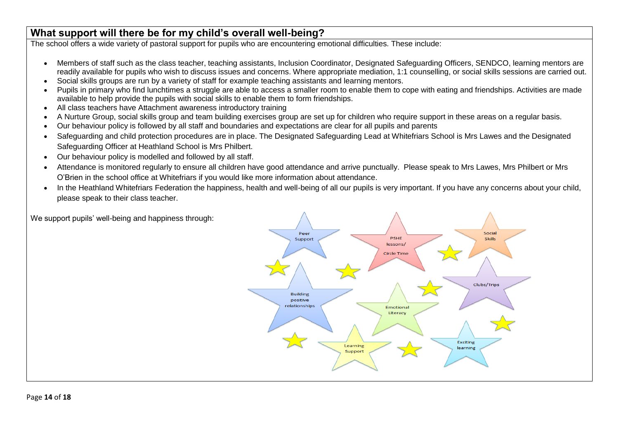# **What support will there be for my child's overall well-being?**

The school offers a wide variety of pastoral support for pupils who are encountering emotional difficulties. These include:

- Members of staff such as the class teacher, teaching assistants, Inclusion Coordinator, Designated Safeguarding Officers, SENDCO, learning mentors are readily available for pupils who wish to discuss issues and concerns. Where appropriate mediation, 1:1 counselling, or social skills sessions are carried out.
- Social skills groups are run by a variety of staff for example teaching assistants and learning mentors.
- Pupils in primary who find lunchtimes a struggle are able to access a smaller room to enable them to cope with eating and friendships. Activities are made available to help provide the pupils with social skills to enable them to form friendships.
- All class teachers have Attachment awareness introductory training
- A Nurture Group, social skills group and team building exercises group are set up for children who require support in these areas on a regular basis.
- Our behaviour policy is followed by all staff and boundaries and expectations are clear for all pupils and parents
- Safeguarding and child protection procedures are in place. The Designated Safeguarding Lead at Whitefriars School is Mrs Lawes and the Designated Safeguarding Officer at Heathland School is Mrs Philbert.
- Our behaviour policy is modelled and followed by all staff.
- Attendance is monitored regularly to ensure all children have good attendance and arrive punctually. Please speak to Mrs Lawes, Mrs Philbert or Mrs O'Brien in the school office at Whitefriars if you would like more information about attendance.
- In the Heathland Whitefriars Federation the happiness, health and well-being of all our pupils is very important. If you have any concerns about your child, please speak to their class teacher.

![](_page_13_Figure_12.jpeg)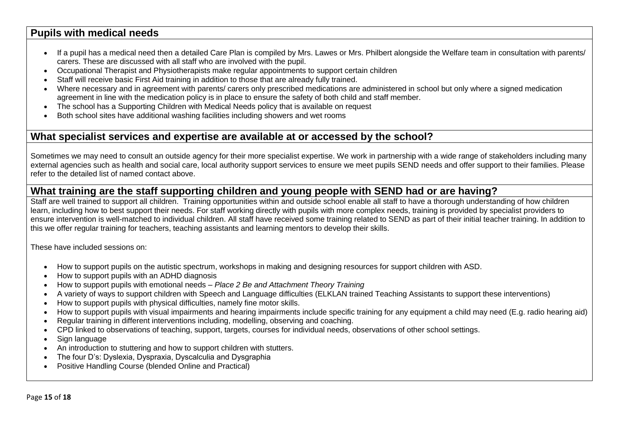#### **Pupils with medical needs**

- If a pupil has a medical need then a detailed Care Plan is compiled by Mrs. Lawes or Mrs. Philbert alongside the Welfare team in consultation with parents/ carers. These are discussed with all staff who are involved with the pupil.
- Occupational Therapist and Physiotherapists make regular appointments to support certain children
- Staff will receive basic First Aid training in addition to those that are already fully trained.
- Where necessary and in agreement with parents/ carers only prescribed medications are administered in school but only where a signed medication agreement in line with the medication policy is in place to ensure the safety of both child and staff member.
- The school has a Supporting Children with Medical Needs policy that is available on request
- Both school sites have additional washing facilities including showers and wet rooms

#### **What specialist services and expertise are available at or accessed by the school?**

Sometimes we may need to consult an outside agency for their more specialist expertise. We work in partnership with a wide range of stakeholders including many external agencies such as health and social care, local authority support services to ensure we meet pupils SEND needs and offer support to their families. Please refer to the detailed list of named contact above.

# **What training are the staff supporting children and young people with SEND had or are having?**

Staff are well trained to support all children. Training opportunities within and outside school enable all staff to have a thorough understanding of how children learn, including how to best support their needs. For staff working directly with pupils with more complex needs, training is provided by specialist providers to ensure intervention is well-matched to individual children. All staff have received some training related to SEND as part of their initial teacher training. In addition to this we offer regular training for teachers, teaching assistants and learning mentors to develop their skills.

These have included sessions on:

- How to support pupils on the autistic spectrum, workshops in making and designing resources for support children with ASD.
- How to support pupils with an ADHD diagnosis
- How to support pupils with emotional needs *Place 2 Be and Attachment Theory Training*
- A variety of ways to support children with Speech and Language difficulties (ELKLAN trained Teaching Assistants to support these interventions)
- How to support pupils with physical difficulties, namely fine motor skills.
- How to support pupils with visual impairments and hearing impairments include specific training for any equipment a child may need (E.g. radio hearing aid)
- Regular training in different interventions including, modelling, observing and coaching.
- CPD linked to observations of teaching, support, targets, courses for individual needs, observations of other school settings.
- Sign language
- An introduction to stuttering and how to support children with stutters.
- The four D's: Dyslexia, Dyspraxia, Dyscalculia and Dysgraphia
- Positive Handling Course (blended Online and Practical)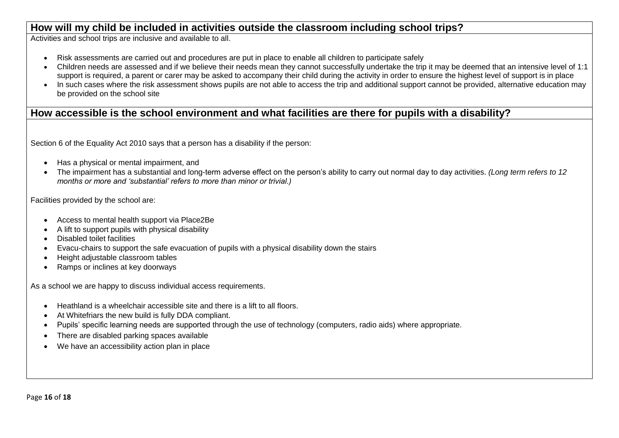## **How will my child be included in activities outside the classroom including school trips?**

Activities and school trips are inclusive and available to all.

- Risk assessments are carried out and procedures are put in place to enable all children to participate safely
- Children needs are assessed and if we believe their needs mean they cannot successfully undertake the trip it may be deemed that an intensive level of 1:1 support is required, a parent or carer may be asked to accompany their child during the activity in order to ensure the highest level of support is in place
- In such cases where the risk assessment shows pupils are not able to access the trip and additional support cannot be provided, alternative education may be provided on the school site

## **How accessible is the school environment and what facilities are there for pupils with a disability?**

Section 6 of the Equality Act 2010 says that a person has a disability if the person:

- Has a physical or mental impairment, and
- The impairment has a substantial and long-term adverse effect on the person's ability to carry out normal day to day activities. *(Long term refers to 12 months or more and 'substantial' refers to more than minor or trivial.)*

Facilities provided by the school are:

- Access to mental health support via Place2Be
- A lift to support pupils with physical disability
- Disabled toilet facilities
- Evacu-chairs to support the safe evacuation of pupils with a physical disability down the stairs
- Height adjustable classroom tables
- Ramps or inclines at key doorways

As a school we are happy to discuss individual access requirements.

- Heathland is a wheelchair accessible site and there is a lift to all floors.
- At Whitefriars the new build is fully DDA compliant.
- Pupils' specific learning needs are supported through the use of technology (computers, radio aids) where appropriate.
- There are disabled parking spaces available
- We have an accessibility action plan in place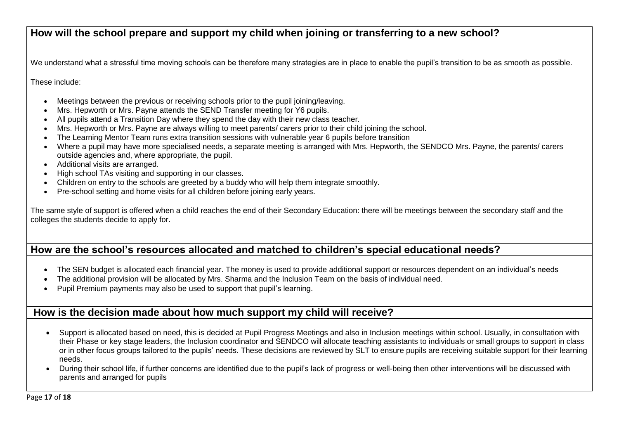## **How will the school prepare and support my child when joining or transferring to a new school?**

We understand what a stressful time moving schools can be therefore many strategies are in place to enable the pupil's transition to be as smooth as possible.

These include:

- Meetings between the previous or receiving schools prior to the pupil joining/leaving.
- Mrs. Hepworth or Mrs. Payne attends the SEND Transfer meeting for Y6 pupils.
- All pupils attend a Transition Day where they spend the day with their new class teacher.
- Mrs. Hepworth or Mrs. Payne are always willing to meet parents/ carers prior to their child joining the school.
- The Learning Mentor Team runs extra transition sessions with vulnerable year 6 pupils before transition
- Where a pupil may have more specialised needs, a separate meeting is arranged with Mrs. Hepworth, the SENDCO Mrs. Payne, the parents/ carers outside agencies and, where appropriate, the pupil.
- Additional visits are arranged.
- High school TAs visiting and supporting in our classes.
- Children on entry to the schools are greeted by a buddy who will help them integrate smoothly.
- Pre-school setting and home visits for all children before joining early years.

The same style of support is offered when a child reaches the end of their Secondary Education: there will be meetings between the secondary staff and the colleges the students decide to apply for.

# **How are the school's resources allocated and matched to children's special educational needs?**

- The SEN budget is allocated each financial year. The money is used to provide additional support or resources dependent on an individual's needs
- The additional provision will be allocated by Mrs. Sharma and the Inclusion Team on the basis of individual need.
- Pupil Premium payments may also be used to support that pupil's learning.

## **How is the decision made about how much support my child will receive?**

- Support is allocated based on need, this is decided at Pupil Progress Meetings and also in Inclusion meetings within school. Usually, in consultation with their Phase or key stage leaders, the Inclusion coordinator and SENDCO will allocate teaching assistants to individuals or small groups to support in class or in other focus groups tailored to the pupils' needs. These decisions are reviewed by SLT to ensure pupils are receiving suitable support for their learning needs.
- During their school life, if further concerns are identified due to the pupil's lack of progress or well-being then other interventions will be discussed with parents and arranged for pupils